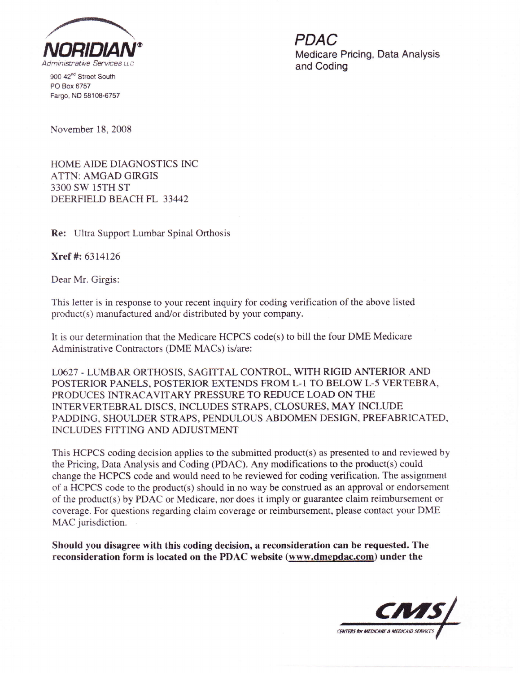

900 42<sup>nd</sup> Street South PO Box 6757 Fargo, ND 58108-6757 Medicare Pricing, Data Analysis

November 18,2008

HOME AIDE DIAGNOSTICS INC ATTN: AMGAD GIRGIS 33OO SW 15TH ST DEERFIELD BEACH FL 33442

Re: Ultra Support Lumbar Spinal Orthosis

Xref #: 6314126

Dear Mr. Girgis:

This letter is in response to your recent inquiry for coding verification of the above listed product(s) manufactured and/or distributed by your company.

It is our determination that the Medicare HCPCS code(s) to bill the four DME Medicare Administrative Contractors (DME MACs) is/are:

LO627 - LUMBAR ORTHOSTS, SAGITTAL CONTROL, WITH RIGID ANTERIOR AND POSTERIOR PANELS, POSTERIOR EXTENDS FROM L-l TO BELOW L-5 VERTEBRA, PRODUCES INTRACAVITARY PRESSURE TO REDUCE LOAD ON THE INTERVERTEBRAL DISCS, INCLUDES STRAPS, CLOSURES, MAY INCLUDE PADDING, SHOULDER STRAPS, PENDULOUS ABDOMEN DESIGN, PREFABRICATED, INCLUDES FITTING AND ADJUSTMENT

This HCPCS coding decision applies to the submitted product(s) as presented to and reviewed by the Pricing, Data Analysis and Coding (PDAC). Any modifications to the product(s) could change the HCPCS code and would need to be reviewed for coding verification. The assignment of a HCPCS code to the product(s) should in no way be construed as an approval or endorsement of the product(s) by PDAC or Medicare, nor does it imply or guarantee claim reimbursement or coverage. For questions regarding claim coverage or reimbursement, please contact your DME MAC jurisdiction.

Should you disagree with this coding decision, a reconsideration can be requested. The reconsideration form is located on the PDAC website (www.dmepdac.com) under the